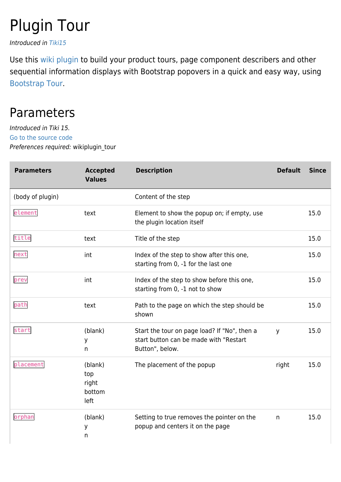# Plugin Tour

Introduced in [Tiki15](https://doc.tiki.org/Tiki15)

Use this [wiki plugin](https://doc.tiki.org/wiki%20plugin) to build your product tours, page component describers and other sequential information displays with Bootstrap popovers in a quick and easy way, using [Bootstrap Tour](http://bootstraptour.com/).

### Parameters

Introduced in Tiki 15. [Go to the source code](https://gitlab.com/tikiwiki/tiki/-/blob/master/lib/wiki-plugins/wikiplugin_tour.php) Preferences required: wikiplugin\_tour

| <b>Parameters</b> | <b>Accepted</b><br><b>Values</b>          | <b>Description</b>                                                                                         | <b>Default</b> | <b>Since</b> |
|-------------------|-------------------------------------------|------------------------------------------------------------------------------------------------------------|----------------|--------------|
| (body of plugin)  |                                           | Content of the step                                                                                        |                |              |
| element           | text                                      | Element to show the popup on; if empty, use<br>the plugin location itself                                  |                | 15.0         |
| title             | text                                      | Title of the step                                                                                          |                | 15.0         |
| next              | int                                       | Index of the step to show after this one,<br>starting from 0, -1 for the last one                          |                | 15.0         |
| prev              | int                                       | Index of the step to show before this one,<br>starting from 0, -1 not to show                              |                | 15.0         |
| path              | text                                      | Path to the page on which the step should be<br>shown                                                      |                | 15.0         |
| start             | (blank)<br>У<br>n                         | Start the tour on page load? If "No", then a<br>start button can be made with "Restart"<br>Button", below. | у              | 15.0         |
| placement         | (blank)<br>top<br>right<br>bottom<br>left | The placement of the popup                                                                                 | right          | 15.0         |
| orphan            | (blank)<br>у<br>n                         | Setting to true removes the pointer on the<br>popup and centers it on the page                             | n              | 15.0         |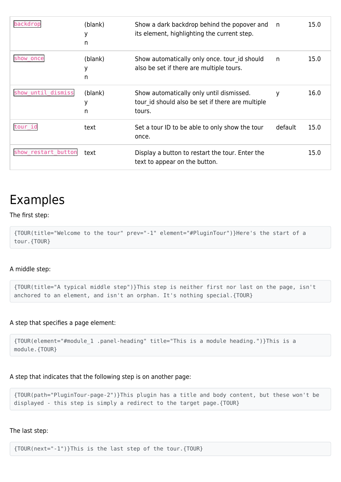| backdrop            | (blank)<br>У<br>n | Show a dark backdrop behind the popover and<br>its element, highlighting the current step.             | n       | 15.0 |
|---------------------|-------------------|--------------------------------------------------------------------------------------------------------|---------|------|
| show once           | (blank)<br>У<br>n | Show automatically only once. tour id should<br>also be set if there are multiple tours.               | n       | 15.0 |
| show until dismiss  | (blank)<br>У<br>n | Show automatically only until dismissed.<br>tour id should also be set if there are multiple<br>tours. | У       | 16.0 |
| tour id             | text              | Set a tour ID to be able to only show the tour<br>once.                                                | default | 15.0 |
| show restart button | text              | Display a button to restart the tour. Enter the<br>text to appear on the button.                       |         | 15.0 |

### Examples

#### The first step:

```
{TOUR(title="Welcome to the tour" prev="-1" element="#PluginTour")}Here's the start of a
tour.{TOUR}
```
#### A middle step:

{TOUR(title="A typical middle step")}This step is neither first nor last on the page, isn't anchored to an element, and isn't an orphan. It's nothing special.{TOUR}

#### A step that specifies a page element:

```
{TOUR(element="#module_1 .panel-heading" title="This is a module heading.")}This is a
module.{TOUR}
```
#### A step that indicates that the following step is on another page:

{TOUR(path="PluginTour-page-2")}This plugin has a title and body content, but these won't be displayed - this step is simply a redirect to the target page.{TOUR}

#### The last step:

{TOUR(next="-1")}This is the last step of the tour.{TOUR}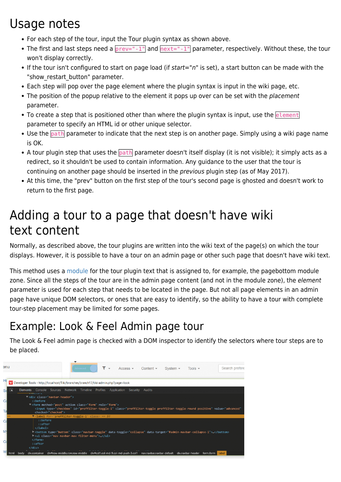# Usage notes

- For each step of the tour, input the Tour plugin syntax as shown above.
- The first and last steps need a  $prev=$  -1" and  $next=$  -1" parameter, respectively. Without these, the tour won't display correctly.
- If the tour isn't configured to start on page load (if start="n" is set), a start button can be made with the "show restart button" parameter.
- Each step will pop over the page element where the plugin syntax is input in the wiki page, etc.
- The position of the popup relative to the element it pops up over can be set with the *placement* parameter.
- $\bullet$  To create a step that is positioned other than where the plugin syntax is input, use the element parameter to specify an HTML id or other unique selector.
- Use the **path** parameter to indicate that the next step is on another page. Simply using a wiki page name is OK.
- A tour plugin step that uses the **path** parameter doesn't itself display (it is not visible); it simply acts as a redirect, so it shouldn't be used to contain information. Any guidance to the user that the tour is continuing on another page should be inserted in the previous plugin step (as of May 2017).
- At this time, the "prev" button on the first step of the tour's second page is ghosted and doesn't work to return to the first page.

# Adding a tour to a page that doesn't have wiki text content

Normally, as described above, the tour plugins are written into the wiki text of the page(s) on which the tour displays. However, it is possible to have a tour on an admin page or other such page that doesn't have wiki text.

This method uses a [module](https://doc.tiki.org/Module) for the tour plugin text that is assigned to, for example, the pagebottom module zone. Since all the steps of the tour are in the admin page content (and not in the module zone), the element parameter is used for each step that needs to be located in the page. But not all page elements in an admin page have unique DOM selectors, or ones that are easy to identify, so the ability to have a tour with complete tour-step placement may be limited for some pages.

# Example: Look & Feel Admin page tour

The Look & Feel admin page is checked with a DOM inspector to identify the selectors where tour steps are to be placed.

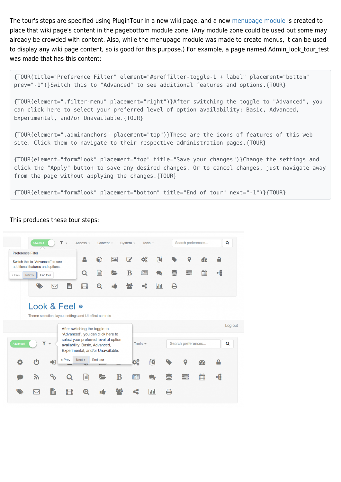The tour's steps are specified using PluginTour in a new wiki page, and a new [menupage module](https://doc.tiki.org/Module-menupage) is created to place that wiki page's content in the pagebottom module zone. (Any module zone could be used but some may already be crowded with content. Also, while the menupage module was made to create menus, it can be used to display any wiki page content, so is good for this purpose.) For example, a page named Admin look tour test was made that has this content:

{TOUR(title="Preference Filter" element="#preffilter-toggle-1 + label" placement="bottom" prev="-1")}Switch this to "Advanced" to see additional features and options.{TOUR}

{TOUR(element=".filter-menu" placement="right")}After switching the toggle to "Advanced", you can click here to select your preferred level of option availability: Basic, Advanced, Experimental, and/or Unavailable.{TOUR}

{TOUR(element=".adminanchors" placement="top")}These are the icons of features of this web site. Click them to navigate to their respective administration pages.{TOUR}

{TOUR(element="form#look" placement="top" title="Save your changes")}Change the settings and click the "Apply" button to save any desired changes. Or to cancel changes, just navigate away from the page without applying the changes.{TOUR}

{TOUR(element="form#look" placement="bottom" title="End of tour" next="-1")}{TOUR}



#### This produces these tour steps: